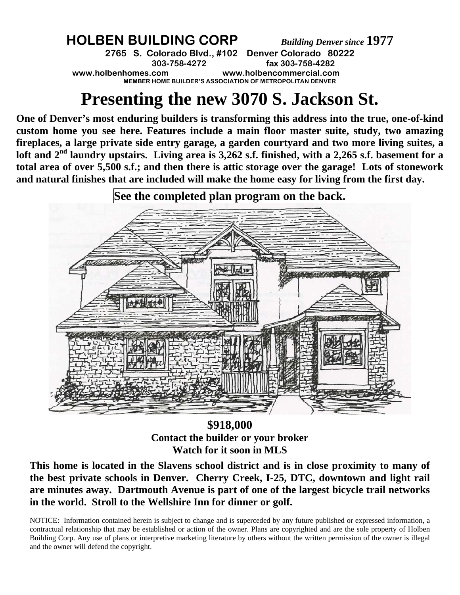## **HOLBEN BUILDING CORP** *Building Denver since* **1977**

**2765 S. Colorado Blvd., #102 Denver Colorado 80222 303-758-4272 fax 303-758-4282 www.holbenhomes.com www.holbencommercial.com MEMBER HOME BUILDER'S ASSOCIATION OF METROPOLITAN DENVER** 

## **Presenting the new 3070 S. Jackson St.**

**One of Denver's most enduring builders is transforming this address into the true, one-of-kind custom home you see here. Features include a main floor master suite, study, two amazing fireplaces, a large private side entry garage, a garden courtyard and two more living suites, a**  loft and 2<sup>nd</sup> laundry upstairs. Living area is 3,262 s.f. finished, with a 2,265 s.f. basement for a **total area of over 5,500 s.f.; and then there is attic storage over the garage! Lots of stonework and natural finishes that are included will make the home easy for living from the first day.** 



**\$918,000 Contact the builder or your broker Watch for it soon in MLS** 

**This home is located in the Slavens school district and is in close proximity to many of the best private schools in Denver. Cherry Creek, I-25, DTC, downtown and light rail are minutes away. Dartmouth Avenue is part of one of the largest bicycle trail networks in the world. Stroll to the Wellshire Inn for dinner or golf.** 

NOTICE: Information contained herein is subject to change and is superceded by any future published or expressed information, a contractual relationship that may be established or action of the owner. Plans are copyrighted and are the sole property of Holben Building Corp. Any use of plans or interpretive marketing literature by others without the written permission of the owner is illegal and the owner will defend the copyright.